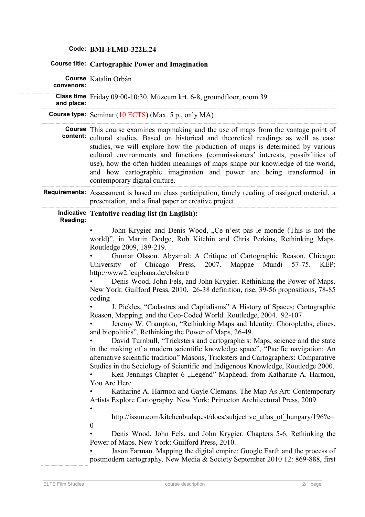|  |  |  |  | Code: BMI-FLMD-322E.24 |
|--|--|--|--|------------------------|
|--|--|--|--|------------------------|

|  |            | Course title: Cartographic Power and Imagination                                                                                                                                                                                                                                                                                                                                                                                                                                                                                                                                                                                                                                                                                                                                                                                                                                                                                                                                                                                                                                                                                                                                                                                                                                                                                                                                                                                             |
|--|------------|----------------------------------------------------------------------------------------------------------------------------------------------------------------------------------------------------------------------------------------------------------------------------------------------------------------------------------------------------------------------------------------------------------------------------------------------------------------------------------------------------------------------------------------------------------------------------------------------------------------------------------------------------------------------------------------------------------------------------------------------------------------------------------------------------------------------------------------------------------------------------------------------------------------------------------------------------------------------------------------------------------------------------------------------------------------------------------------------------------------------------------------------------------------------------------------------------------------------------------------------------------------------------------------------------------------------------------------------------------------------------------------------------------------------------------------------|
|  | convenors: | Course Katalin Orbán                                                                                                                                                                                                                                                                                                                                                                                                                                                                                                                                                                                                                                                                                                                                                                                                                                                                                                                                                                                                                                                                                                                                                                                                                                                                                                                                                                                                                         |
|  | and place: | Class time Friday 09:00-10:30, Múzeum krt. 6-8, groundfloor, room 39                                                                                                                                                                                                                                                                                                                                                                                                                                                                                                                                                                                                                                                                                                                                                                                                                                                                                                                                                                                                                                                                                                                                                                                                                                                                                                                                                                         |
|  |            | <b>Course type:</b> Seminar $(10 ECTS)$ (Max. 5 p., only MA)                                                                                                                                                                                                                                                                                                                                                                                                                                                                                                                                                                                                                                                                                                                                                                                                                                                                                                                                                                                                                                                                                                                                                                                                                                                                                                                                                                                 |
|  | content:   | <b>Course</b> This course examines mapmaking and the use of maps from the vantage point of<br>cultural studies. Based on historical and theoretical readings as well as case<br>studies, we will explore how the production of maps is determined by various<br>cultural environments and functions (commissioners' interests, possibilities of<br>use), how the often hidden meanings of maps shape our knowledge of the world,<br>and how cartographic imagination and power are being transformed in<br>contemporary digital culture.                                                                                                                                                                                                                                                                                                                                                                                                                                                                                                                                                                                                                                                                                                                                                                                                                                                                                                     |
|  |            | Requirements: Assessment is based on class participation, timely reading of assigned material, a<br>presentation, and a final paper or creative project.                                                                                                                                                                                                                                                                                                                                                                                                                                                                                                                                                                                                                                                                                                                                                                                                                                                                                                                                                                                                                                                                                                                                                                                                                                                                                     |
|  | Reading:   | Indicative Tentative reading list (in English):<br>John Krygier and Denis Wood, "Ce n'est pas le monde (This is not the<br>world)", in Martin Dodge, Rob Kitchin and Chris Perkins, Rethinking Maps,<br>Routledge 2009, 189-219.<br>Gunnar Olsson. Abysmal: A Critique of Cartographic Reason. Chicago:<br>KÉP:<br>University of Chicago Press,<br>2007.<br>Mappae<br>Mundi<br>$57 - 75.$<br>http://www2.leuphana.de/ebskart/                                                                                                                                                                                                                                                                                                                                                                                                                                                                                                                                                                                                                                                                                                                                                                                                                                                                                                                                                                                                                |
|  |            | Denis Wood, John Fels, and John Krygier. Rethinking the Power of Maps.<br>New York: Guilford Press, 2010. 26-38 definition, rise, 39-56 propositions, 78-85<br>coding<br>J. Pickles, "Cadastres and Capitalisms" A History of Spaces: Cartographic<br>Reason, Mapping, and the Geo-Coded World. Routledge, 2004. 92-107<br>Jeremy W. Crampton, "Rethinking Maps and Identity: Choropleths, clines,<br>and biopolitics", Rethinking the Power of Maps, 26-49.<br>David Turnbull, "Tricksters and cartographers: Maps, science and the state<br>in the making of a modern scientific knowledge space", "Pacific navigation: An<br>alternative scientific tradition" Masons, Tricksters and Cartographers: Comparative<br>Studies in the Sociology of Scientific and Indigenous Knowledge, Routledge 2000.<br>Ken Jennings Chapter 6 "Legend" Maphead; from Katharine A. Harmon,<br>You Are Here<br>Katharine A. Harmon and Gayle Clemans. The Map As Art: Contemporary<br>Artists Explore Cartography. New York: Princeton Architectural Press, 2009.<br>http://issuu.com/kitchenbudapest/docs/subjective atlas of hungary/196?e=<br>$\boldsymbol{0}$<br>Denis Wood, John Fels, and John Krygier. Chapters 5-6, Rethinking the<br>Power of Maps. New York: Guilford Press, 2010.<br>Jason Farman. Mapping the digital empire: Google Earth and the process of<br>postmodern cartography. New Media & Society September 2010 12: 869-888, first |